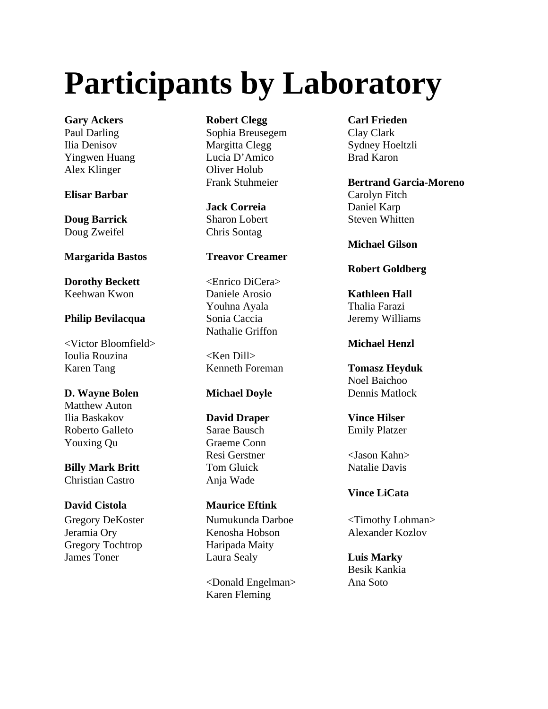# **Participants by Laboratory**

**Gary Ackers Robert Clegg Carl Frieden** Alex Klinger Oliver Holub

### **Elisar Barbar** Carolyn Fitch

Doug Zweifel Chris Sontag

**Dorothy Beckett** <Enrico DiCera> Keehwan Kwon Daniele Arosio **Kathleen Hall**

### **Philip Bevilacqua** Sonia Caccia Sonia Central Jeremy Williams

<Victor Bloomfield> **Michael Henzl** Ioulia Rouzina <Ken Dill> Karen Tang **Kenneth Foreman Tomasz Heyduk** 

### **D. Wayne Bolen Michael Doyle Dennis Matlock**

Matthew Auton Ilia Baskakov **David Draper Vince Hilser** Roberto Galleto Sarae Bausch Emily Platzer Youxing Qu Graeme Conn

**Billy Mark Britt** Tom Gluick Natalie Davis Christian Castro Anja Wade

Gregory Tochtrop Haripada Maity

Paul Darling Sophia Breusegem Clay Clark Ilia Denisov Margitta Clegg Sydney Hoeltzli Yingwen Huang Lucia D'Amico Brad Karon

## **Jack Correia** Daniel Karp

### **Margarida Bastos Treavor Creamer**

Youhna Ayala Thalia Farazi Nathalie Griffon

Resi Gerstner <Jason Kahn>

### **David Cistola Maurice Eftink**

Gregory DeKoster Numukunda Darboe <Timothy Lohman> Jeramia Ory Kenosha Hobson Alexander Kozlov James Toner Laura Sealy **Luis Marky**

> <Donald Engelman> Ana Soto Karen Fleming

Frank Stuhmeier **Bertrand Garcia-Moreno Doug Barrick** Sharon Lobert Steven Whitten

**Michael Gilson**

### **Robert Goldberg**

Noel Baichoo

**Vince LiCata**

Besik Kankia